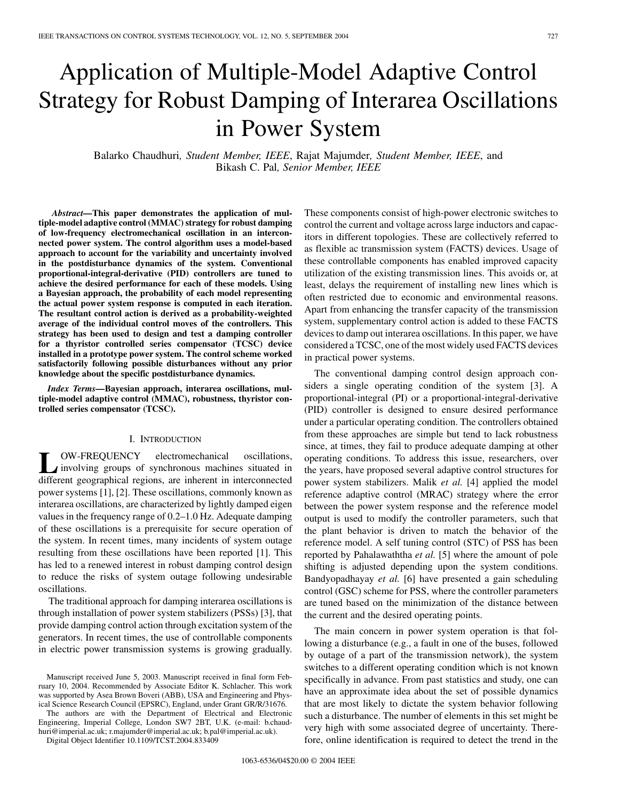# Application of Multiple-Model Adaptive Control Strategy for Robust Damping of Interarea Oscillations in Power System

Balarko Chaudhuri*, Student Member, IEEE*, Rajat Majumder*, Student Member, IEEE*, and Bikash C. Pal*, Senior Member, IEEE*

*Abstract—***This paper demonstrates the application of multiple-model adaptive control (MMAC) strategy for robust damping of low-frequency electromechanical oscillation in an interconnected power system. The control algorithm uses a model-based approach to account for the variability and uncertainty involved in the postdisturbance dynamics of the system. Conventional proportional-integral-derivative (PID) controllers are tuned to achieve the desired performance for each of these models. Using a Bayesian approach, the probability of each model representing the actual power system response is computed in each iteration. The resultant control action is derived as a probability-weighted average of the individual control moves of the controllers. This strategy has been used to design and test a damping controller for a thyristor controlled series compensator (TCSC) device installed in a prototype power system. The control scheme worked satisfactorily following possible disturbances without any prior knowledge about the specific postdisturbance dynamics.**

*Index Terms—***Bayesian approach, interarea oscillations, multiple-model adaptive control (MMAC), robustness, thyristor controlled series compensator (TCSC).**

#### I. INTRODUCTION

**L** OW-FREQUENCY electromechanical oscillations,<br>involving groups of synchronous machines situated in<br>different coorreplied regions are inherent in interconnected different geographical regions, are inherent in interconnected power systems [[1\]](#page-8-0), [\[2](#page-8-0)]. These oscillations, commonly known as interarea oscillations, are characterized by lightly damped eigen values in the frequency range of 0.2–1.0 Hz. Adequate damping of these oscillations is a prerequisite for secure operation of the system. In recent times, many incidents of system outage resulting from these oscillations have been reported [\[1](#page-8-0)]. This has led to a renewed interest in robust damping control design to reduce the risks of system outage following undesirable oscillations.

The traditional approach for damping interarea oscillations is through installation of power system stabilizers (PSSs) [\[3](#page-8-0)], that provide damping control action through excitation system of the generators. In recent times, the use of controllable components in electric power transmission systems is growing gradually.

The authors are with the Department of Electrical and Electronic Engineering, Imperial College, London SW7 2BT, U.K. (e-mail: b.chaudhuri@imperial.ac.uk; r.majumder@imperial.ac.uk; b.pal@imperial.ac.uk).

Digital Object Identifier 10.1109/TCST.2004.833409

These components consist of high-power electronic switches to control the current and voltage across large inductors and capacitors in different topologies. These are collectively referred to as flexible ac transmission system (FACTS) devices. Usage of these controllable components has enabled improved capacity utilization of the existing transmission lines. This avoids or, at least, delays the requirement of installing new lines which is often restricted due to economic and environmental reasons. Apart from enhancing the transfer capacity of the transmission system, supplementary control action is added to these FACTS devices to damp out interarea oscillations. In this paper, we have considered a TCSC, one of the most widely used FACTS devices in practical power systems.

The conventional damping control design approach considers a single operating condition of the system [\[3](#page-8-0)]. A proportional-integral (PI) or a proportional-integral-derivative (PID) controller is designed to ensure desired performance under a particular operating condition. The controllers obtained from these approaches are simple but tend to lack robustness since, at times, they fail to produce adequate damping at other operating conditions. To address this issue, researchers, over the years, have proposed several adaptive control structures for power system stabilizers. Malik *et al.* [\[4](#page-8-0)] applied the model reference adaptive control (MRAC) strategy where the error between the power system response and the reference model output is used to modify the controller parameters, such that the plant behavior is driven to match the behavior of the reference model. A self tuning control (STC) of PSS has been reported by Pahalawaththa *et al.* [\[5](#page-8-0)] where the amount of pole shifting is adjusted depending upon the system conditions. Bandyopadhayay *et al.* [[6\]](#page-8-0) have presented a gain scheduling control (GSC) scheme for PSS, where the controller parameters are tuned based on the minimization of the distance between the current and the desired operating points.

The main concern in power system operation is that following a disturbance (e.g., a fault in one of the buses, followed by outage of a part of the transmission network), the system switches to a different operating condition which is not known specifically in advance. From past statistics and study, one can have an approximate idea about the set of possible dynamics that are most likely to dictate the system behavior following such a disturbance. The number of elements in this set might be very high with some associated degree of uncertainty. Therefore, online identification is required to detect the trend in the

Manuscript received June 5, 2003. Manuscript received in final form February 10, 2004. Recommended by Associate Editor K. Schlacher. This work was supported by Asea Brown Boveri (ABB), USA and Engineering and Physical Science Research Council (EPSRC), England, under Grant GR/R/31676.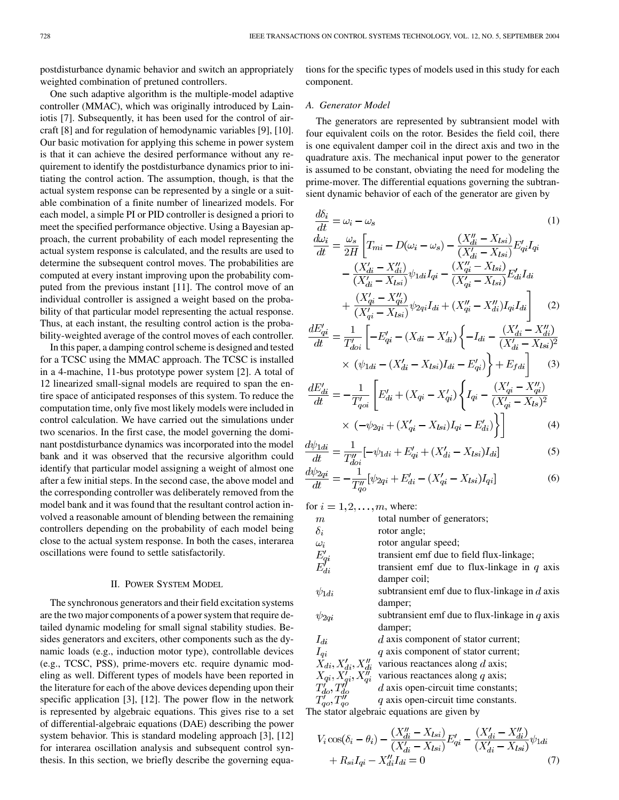postdisturbance dynamic behavior and switch an appropriately weighted combination of pretuned controllers.

One such adaptive algorithm is the multiple-model adaptive controller (MMAC), which was originally introduced by Lainiotis [\[7](#page-8-0)]. Subsequently, it has been used for the control of aircraft [[8\]](#page-8-0) and for regulation of hemodynamic variables [\[9](#page-8-0)], [[10\]](#page-8-0). Our basic motivation for applying this scheme in power system is that it can achieve the desired performance without any requirement to identify the postdisturbance dynamics prior to initiating the control action. The assumption, though, is that the actual system response can be represented by a single or a suitable combination of a finite number of linearized models. For each model, a simple PI or PID controller is designed a priori to meet the specified performance objective. Using a Bayesian approach, the current probability of each model representing the actual system response is calculated, and the results are used to determine the subsequent control moves. The probabilities are computed at every instant improving upon the probability computed from the previous instant [\[11](#page-8-0)]. The control move of an individual controller is assigned a weight based on the probability of that particular model representing the actual response. Thus, at each instant, the resulting control action is the probability-weighted average of the control moves of each controller.

In this paper, a damping control scheme is designed and tested for a TCSC using the MMAC approach. The TCSC is installed in a 4-machine, 11-bus prototype power system [[2\]](#page-8-0). A total of 12 linearized small-signal models are required to span the entire space of anticipated responses of this system. To reduce the computation time, only five most likely models were included in control calculation. We have carried out the simulations under two scenarios. In the first case, the model governing the dominant postdisturbance dynamics was incorporated into the model bank and it was observed that the recursive algorithm could identify that particular model assigning a weight of almost one after a few initial steps. In the second case, the above model and the corresponding controller was deliberately removed from the model bank and it was found that the resultant control action involved a reasonable amount of blending between the remaining controllers depending on the probability of each model being close to the actual system response. In both the cases, interarea oscillations were found to settle satisfactorily.

## II. POWER SYSTEM MODEL

The synchronous generators and their field excitation systems are the two major components of a power system that require detailed dynamic modeling for small signal stability studies. Besides generators and exciters, other components such as the dynamic loads (e.g., induction motor type), controllable devices (e.g., TCSC, PSS), prime-movers etc. require dynamic modeling as well. Different types of models have been reported in the literature for each of the above devices depending upon their specific application [\[3](#page-8-0)], [[12\]](#page-8-0). The power flow in the network is represented by algebraic equations. This gives rise to a set of differential-algebraic equations (DAE) describing the power system behavior. This is standard modeling approach [\[3](#page-8-0)], [\[12](#page-8-0)] for interarea oscillation analysis and subsequent control synthesis. In this section, we briefly describe the governing equations for the specific types of models used in this study for each component.

#### *A. Generator Model*

The generators are represented by subtransient model with four equivalent coils on the rotor. Besides the field coil, there is one equivalent damper coil in the direct axis and two in the quadrature axis. The mechanical input power to the generator is assumed to be constant, obviating the need for modeling the prime-mover. The differential equations governing the subtransient dynamic behavior of each of the generator are given by

$$
\frac{d\delta_i}{dt} = \omega_i - \omega_s \tag{1}
$$
\n
$$
\frac{d\omega_i}{dt} = \frac{\omega_s}{2H} \left[ T_{mi} - D(\omega_i - \omega_s) - \frac{(X''_{di} - X_{lsi})}{(X'_{di} - X_{lsi})} E'_{qi} I_{qi} \right.
$$
\n
$$
- \frac{(X'_{di} - X''_{di})}{(X'_{di} - X_{lsi})} \psi_{1di} I_{qi} - \frac{(X''_{qi} - X_{lsi})}{(X'_{qi} - X_{lsi})} E'_{di} I_{di}
$$
\n
$$
+ \frac{(X'_{qi} - X''_{qi})}{(X'_{qi} - X_{lsi})} \psi_{2qi} I_{di} + (X''_{qi} - X''_{di}) I_{qi} I_{di} \right] \tag{2}
$$

$$
\frac{dE_{qi}}{dt} = \frac{1}{T'_{doi}} \left[ -E'_{qi} - (X_{di} - X'_{di}) \left\{ -I_{di} - \frac{(X'_{di} - X'_{di})}{(X'_{di} - X_{lsi})^2} \right. \right. \\
\times \left. (\psi_{1di} - (X'_{di} - X_{lsi}) I_{di} - E'_{qi}) \right\} + E_{fdi} \right] \tag{3}
$$

$$
\frac{dE'_{di}}{dt} = -\frac{1}{T'_{qoi}} \left[ E'_{di} + (X_{qi} - X'_{qi}) \left\{ I_{qi} - \frac{(X'_{qi} - X''_{qi})}{(X'_{qi} - X_{ls})^2} \right. \right. \times \left. (-\psi_{2qi} + (X'_{qi} - X_{ls}) I_{qi} - E'_{di} \right) \right\} \right]
$$
\n(4)

$$
\frac{d\psi_{1di}}{dt} = \frac{1}{T''_{doi}}[-\psi_{1di} + E'_{qi} + (X'_{di} - X_{lsi})I_{di}] \tag{5}
$$

$$
\frac{d\psi_{2qi}}{dt} = -\frac{1}{T''_{qo}}[\psi_{2qi} + E'_{di} - (X'_{qi} - X_{lsi})I_{qi}]
$$
\n(6)

for  $i = 1, 2, \ldots, m$ , where:

| $\,m$                                            | total number of generators;                      |
|--------------------------------------------------|--------------------------------------------------|
| $\delta_i$                                       | rotor angle;                                     |
| $\omega_i$                                       | rotor angular speed;                             |
|                                                  | transient emf due to field flux-linkage;         |
| $\begin{array}{c} E'_{qi}\\ E'_{di} \end{array}$ | transient emf due to flux-linkage in $q$ axis    |
|                                                  | damper coil;                                     |
| $\psi_{1di}$                                     | subtransient emf due to flux-linkage in $d$ axis |
|                                                  | damper;                                          |
| $\psi_{2qi}$                                     | subtransient emf due to flux-linkage in $q$ axis |
|                                                  | damper;                                          |
| $I_{di}$                                         | $d$ axis component of stator current;            |
| $I_{qi}$                                         | $q$ axis component of stator current;            |
| $X_{di}, X'_{di}, X''_{di}$                      | various reactances along $d$ axis;               |
| $X_{qi}, X'_{qi}, X''_{qi}$                      | various reactances along $q$ axis;               |
| $T_{do}^{\prime}, T_{do}^{\prime\prime}$         | $d$ axis open-circuit time constants;            |
| $T_{ao}^{\prime}, T_{ao}^{\prime\prime}$         | $q$ axis open-circuit time constants.            |
|                                                  | The stator algebraic equations are given by      |

The stator algebraic equations are given by

$$
V_i \cos(\delta_i - \theta_i) - \frac{(X''_{di} - X_{lsi})}{(X'_{di} - X_{lsi})} E'_{qi} - \frac{(X'_{di} - X''_{di})}{(X'_{di} - X_{lsi})} \psi_{1di} + R_{si} I_{qi} - X''_{di} I_{di} = 0
$$
\n(7)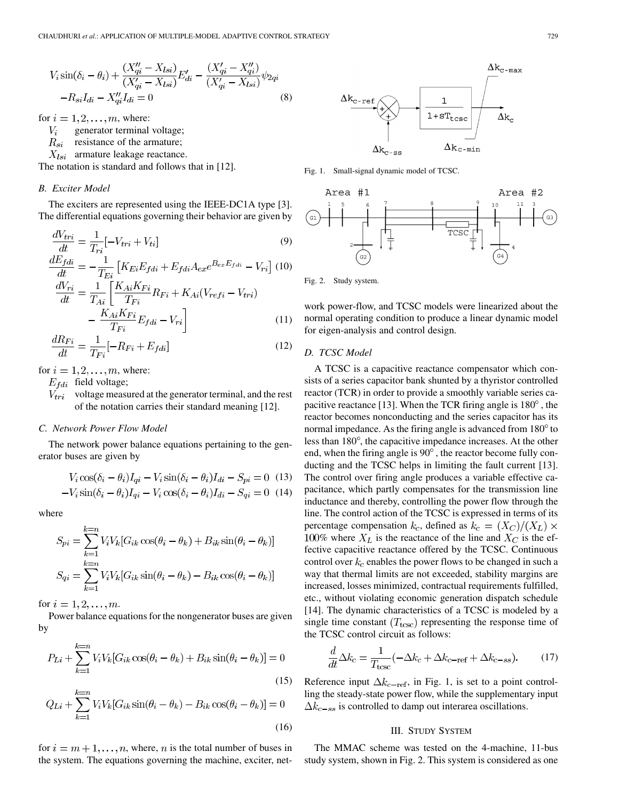$$
V_i \sin(\delta_i - \theta_i) + \frac{(X''_{qi} - X_{lsi})}{(X'_{qi} - X_{lsi})} E'_{di} - \frac{(X'_{qi} - X''_{qi})}{(X'_{qi} - X_{lsi})} \psi_{2qi}
$$
  
- $R_{si} I_{di} - X''_{qi} I_{di} = 0$  (8)

for  $i = 1, 2, \ldots, m$ , where:

 $V_i$ generator terminal voltage;

- $R_{si}$  resistance of the armature;
- $X_{lsi}$  armature leakage reactance.

The notation is standard and follows that in [[12\]](#page-8-0).

#### *B. Exciter Model*

The exciters are represented using the IEEE-DC1A type [\[3](#page-8-0)]. The differential equations governing their behavior are given by

$$
\frac{dV_{tri}}{dt} = \frac{1}{T_{ri}} [-V_{tri} + V_{ti}]
$$
(9)  
\n
$$
\frac{dE_{fdi}}{dt} = -\frac{1}{T_{Ei}} [K_{Ei}E_{fdi} + E_{fdi}A_{ex}e^{B_{ex}E_{fdi}} - V_{ri}]
$$
(10)  
\n
$$
\frac{dV_{ri}}{dt} = \frac{1}{T_{Ai}} \left[ \frac{K_{Ai}K_{Fi}}{T_{Fi}} R_{Fi} + K_{Ai}(V_{refi} - V_{tri}) - \frac{K_{Ai}K_{Fi}}{T_{Fi}} E_{fdi} - V_{ri} \right]
$$
(11)

$$
\frac{dR_{Fi}}{dt} = \frac{1}{T_{Fi}}[-R_{Fi} + E_{fdi}]
$$
\n(12)

for  $i = 1, 2, \ldots, m$ , where:

 $E_{fdi}$  field voltage;

 $V<sub>tri</sub>$  voltage measured at the generator terminal, and the rest of the notation carries their standard meaning [\[12\]](#page-8-0).

#### *C. Network Power Flow Model*

The network power balance equations pertaining to the generator buses are given by

$$
V_i \cos(\delta_i - \theta_i) I_{qi} - V_i \sin(\delta_i - \theta_i) I_{di} - S_{pi} = 0 \quad (13)
$$

$$
-V_i \sin(\delta_i - \theta_i) I_{qi} - V_i \cos(\delta_i - \theta_i) I_{di} - S_{qi} = 0 \quad (14)
$$

where

$$
S_{pi} = \sum_{k=1}^{k=n} V_i V_k [G_{ik} \cos(\theta_i - \theta_k) + B_{ik} \sin(\theta_i - \theta_k)]
$$
  

$$
S_{qi} = \sum_{k=1}^{k=n} V_i V_k [G_{ik} \sin(\theta_i - \theta_k) - B_{ik} \cos(\theta_i - \theta_k)]
$$

for  $i = 1, 2, ..., m$ .

Power balance equations for the nongenerator buses are given by

$$
P_{Li} + \sum_{k=1}^{k=n} V_i V_k [G_{ik} \cos(\theta_i - \theta_k) + B_{ik} \sin(\theta_i - \theta_k)] = 0
$$
\n(15)

$$
Q_{Li} + \sum_{k=1}^{k=n} V_i V_k [G_{ik} \sin(\theta_i - \theta_k) - B_{ik} \cos(\theta_i - \theta_k)] = 0
$$
\n(16)

for  $i = m + 1, \ldots, n$ , where, n is the total number of buses in the system. The equations governing the machine, exciter, net-



Fig. 1. Small-signal dynamic model of TCSC.



Fig. 2. Study system.

work power-flow, and TCSC models were linearized about the normal operating condition to produce a linear dynamic model for eigen-analysis and control design.

## *D. TCSC Model*

A TCSC is a capacitive reactance compensator which consists of a series capacitor bank shunted by a thyristor controlled reactor (TCR) in order to provide a smoothly variable series ca-pacitive reactance [[13\]](#page-8-0). When the TCR firing angle is  $180^\circ$ , the reactor becomes nonconducting and the series capacitor has its normal impedance. As the firing angle is advanced from  $180^\circ$  to less than 180°, the capacitive impedance increases. At the other end, when the firing angle is  $90^\circ$ , the reactor become fully conducting and the TCSC helps in limiting the fault current [\[13](#page-8-0)]. The control over firing angle produces a variable effective capacitance, which partly compensates for the transmission line inductance and thereby, controlling the power flow through the line. The control action of the TCSC is expressed in terms of its percentage compensation  $k_c$ , defined as  $k_c = (X_C)/(X_L) \times$ 100% where  $X_L$  is the reactance of the line and  $X_C$  is the effective capacitive reactance offered by the TCSC. Continuous control over  $k_c$  enables the power flows to be changed in such a way that thermal limits are not exceeded, stability margins are increased, losses minimized, contractual requirements fulfilled, etc., without violating economic generation dispatch schedule [\[14](#page-8-0)]. The dynamic characteristics of a TCSC is modeled by a single time constant  $(T_{\text{tesc}})$  representing the response time of the TCSC control circuit as follows:

$$
\frac{d}{dt}\Delta k_c = \frac{1}{T_{\text{tesc}}}(-\Delta k_c + \Delta k_{c-\text{ref}} + \Delta k_{c-ss}).\tag{17}
$$

Reference input  $\Delta k_{c-{\text{ref}}},$  in Fig. 1, is set to a point controlling the steady-state power flow, while the supplementary input  $\Delta k_{c-ss}$  is controlled to damp out interarea oscillations.

#### III. STUDY SYSTEM

The MMAC scheme was tested on the 4-machine, 11-bus study system, shown in Fig. 2. This system is considered as one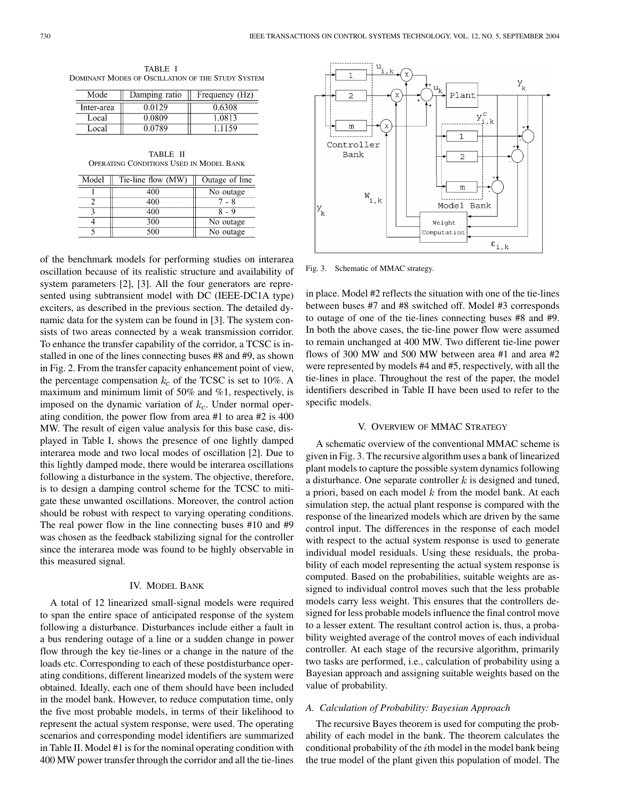DOMINANT MODES OF OSCILLATION OF THE STUDY SYSTEM

| Mode       | Damping ratio | Frequency (Hz) |
|------------|---------------|----------------|
| Inter-area | 0.0129        | 0.6308         |
| Local      | 0.0809        | .0813          |
| Local      | 0.0789        | - 1159         |

TABLE II OPERATING CONDITIONS USED IN MODEL BANK

| Model | Tie-line flow (MW) | Outage of line |  |
|-------|--------------------|----------------|--|
|       | 400                | No outage      |  |
|       | 400                | $1 - 8$        |  |
|       | 400                | 8-9            |  |
|       | 300                | No outage      |  |
|       | 500                | No outage      |  |

of the benchmark models for performing studies on interarea oscillation because of its realistic structure and availability of system parameters [[2](#page-8-0)], [\[3](#page-8-0)]. All the four generators are represented using subtransient model with DC (IEEE-DC1A type) exciters, as described in the previous section. The detailed dynamic data for the system can be found in [[3\]](#page-8-0). The system consists of two areas connected by a weak transmission corridor. To enhance the transfer capability of the corridor, a TCSC is installed in one of the lines connecting buses #8 and #9, as shown in Fig. 2. From the transfer capacity enhancement point of view, the percentage compensation  $k_c$  of the TCSC is set to 10%. A maximum and minimum limit of 50% and %1, respectively, is imposed on the dynamic variation of  $k_c$ . Under normal operating condition, the power flow from area #1 to area #2 is 400 MW. The result of eigen value analysis for this base case, displayed in Table I, shows the presence of one lightly damped interarea mode and two local modes of oscillation [\[2](#page-8-0)]. Due to this lightly damped mode, there would be interarea oscillations following a disturbance in the system. The objective, therefore, is to design a damping control scheme for the TCSC to mitigate these unwanted oscillations. Moreover, the control action should be robust with respect to varying operating conditions. The real power flow in the line connecting buses #10 and #9 was chosen as the feedback stabilizing signal for the controller since the interarea mode was found to be highly observable in this measured signal.

#### IV. MODEL BANK

A total of 12 linearized small-signal models were required to span the entire space of anticipated response of the system following a disturbance. Disturbances include either a fault in a bus rendering outage of a line or a sudden change in power flow through the key tie-lines or a change in the nature of the loads etc. Corresponding to each of these postdisturbance operating conditions, different linearized models of the system were obtained. Ideally, each one of them should have been included in the model bank. However, to reduce computation time, only the five most probable models, in terms of their likelihood to represent the actual system response, were used. The operating scenarios and corresponding model identifiers are summarized in Table II. Model #1 is for the nominal operating condition with 400 MW power transfer through the corridor and all the tie-lines



Fig. 3. Schematic of MMAC strategy.

in place. Model #2 reflects the situation with one of the tie-lines between buses #7 and #8 switched off. Model #3 corresponds to outage of one of the tie-lines connecting buses #8 and #9. In both the above cases, the tie-line power flow were assumed to remain unchanged at 400 MW. Two different tie-line power flows of 300 MW and 500 MW between area #1 and area #2 were represented by models #4 and #5, respectively, with all the tie-lines in place. Throughout the rest of the paper, the model identifiers described in Table II have been used to refer to the specific models.

## V. OVERVIEW OF MMAC STRATEGY

A schematic overview of the conventional MMAC scheme is given in Fig. 3. The recursive algorithm uses a bank of linearized plant models to capture the possible system dynamics following a disturbance. One separate controller  $k$  is designed and tuned, a priori, based on each model  $k$  from the model bank. At each simulation step, the actual plant response is compared with the response of the linearized models which are driven by the same control input. The differences in the response of each model with respect to the actual system response is used to generate individual model residuals. Using these residuals, the probability of each model representing the actual system response is computed. Based on the probabilities, suitable weights are assigned to individual control moves such that the less probable models carry less weight. This ensures that the controllers designed for less probable models influence the final control move to a lesser extent. The resultant control action is, thus, a probability weighted average of the control moves of each individual controller. At each stage of the recursive algorithm, primarily two tasks are performed, i.e., calculation of probability using a Bayesian approach and assigning suitable weights based on the value of probability.

#### *A. Calculation of Probability: Bayesian Approach*

The recursive Bayes theorem is used for computing the probability of each model in the bank. The theorem calculates the conditional probability of the  $i$ th model in the model bank being the true model of the plant given this population of model. The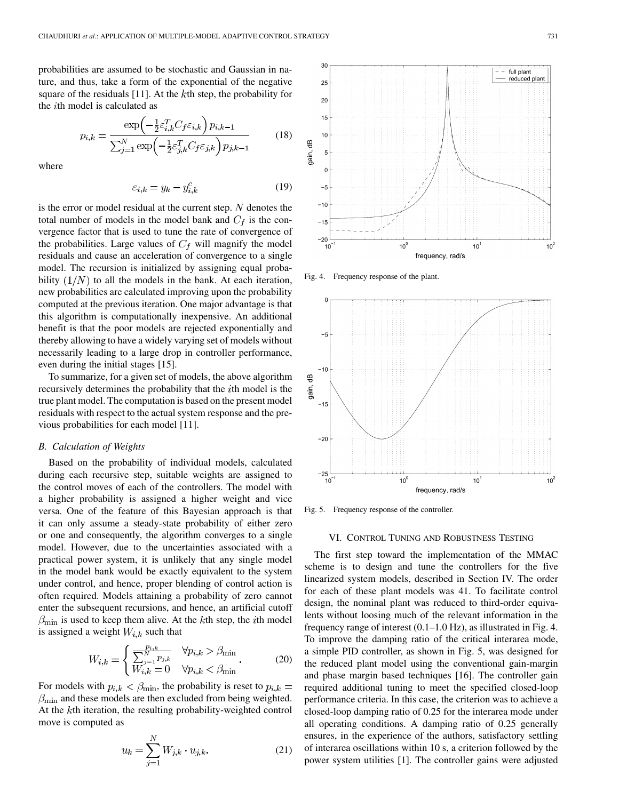probabilities are assumed to be stochastic and Gaussian in nature, and thus, take a form of the exponential of the negative square of the residuals  $[11]$  $[11]$ . At the kth step, the probability for the  $i$ th model is calculated as

$$
p_{i,k} = \frac{\exp\left(-\frac{1}{2}\varepsilon_{i,k}^T C_f \varepsilon_{i,k}\right) p_{i,k-1}}{\sum_{j=1}^N \exp\left(-\frac{1}{2}\varepsilon_{j,k}^T C_f \varepsilon_{j,k}\right) p_{j,k-1}}
$$
(18)

where

$$
\varepsilon_{i,k} = y_k - y_{i,k}^c \tag{19}
$$

is the error or model residual at the current step.  $N$  denotes the total number of models in the model bank and  $C_f$  is the convergence factor that is used to tune the rate of convergence of the probabilities. Large values of  $C_f$  will magnify the model residuals and cause an acceleration of convergence to a single model. The recursion is initialized by assigning equal probability  $(1/N)$  to all the models in the bank. At each iteration, new probabilities are calculated improving upon the probability computed at the previous iteration. One major advantage is that this algorithm is computationally inexpensive. An additional benefit is that the poor models are rejected exponentially and thereby allowing to have a widely varying set of models without necessarily leading to a large drop in controller performance, even during the initial stages [\[15](#page-8-0)].

To summarize, for a given set of models, the above algorithm recursively determines the probability that the  $i$ th model is the true plant model. The computation is based on the present model residuals with respect to the actual system response and the previous probabilities for each model [\[11](#page-8-0)].

#### *B. Calculation of Weights*

Based on the probability of individual models, calculated during each recursive step, suitable weights are assigned to the control moves of each of the controllers. The model with a higher probability is assigned a higher weight and vice versa. One of the feature of this Bayesian approach is that it can only assume a steady-state probability of either zero or one and consequently, the algorithm converges to a single model. However, due to the uncertainties associated with a practical power system, it is unlikely that any single model in the model bank would be exactly equivalent to the system under control, and hence, proper blending of control action is often required. Models attaining a probability of zero cannot enter the subsequent recursions, and hence, an artificial cutoff  $\beta_{\text{min}}$  is used to keep them alive. At the kth step, the *i*th model is assigned a weight  $W_{i,k}$  such that

$$
W_{i,k} = \begin{cases} \frac{p_{i,k}}{\sum_{j=1}^{N} p_{j,k}} & \forall p_{i,k} > \beta_{\min} \\ W_{i,k} = 0 & \forall p_{i,k} < \beta_{\min} \end{cases}.
$$
 (20)

For models with  $p_{i,k} < \beta_{\min}$ , the probability is reset to  $p_{i,k} =$  $\beta_{\text{min}}$  and these models are then excluded from being weighted. At the  $k$ th iteration, the resulting probability-weighted control move is computed as

$$
u_k = \sum_{j=1}^{N} W_{j,k} \cdot u_{j,k}.
$$
 (21)



Fig. 4. Frequency response of the plant.



Fig. 5. Frequency response of the controller.

#### VI. CONTROL TUNING AND ROBUSTNESS TESTING

The first step toward the implementation of the MMAC scheme is to design and tune the controllers for the five linearized system models, described in Section IV. The order for each of these plant models was 41. To facilitate control design, the nominal plant was reduced to third-order equivalents without loosing much of the relevant information in the frequency range of interest (0.1–1.0 Hz), as illustrated in Fig. 4. To improve the damping ratio of the critical interarea mode, a simple PID controller, as shown in Fig. 5, was designed for the reduced plant model using the conventional gain-margin and phase margin based techniques [[16\]](#page-8-0). The controller gain required additional tuning to meet the specified closed-loop performance criteria. In this case, the criterion was to achieve a closed-loop damping ratio of 0.25 for the interarea mode under all operating conditions. A damping ratio of 0.25 generally ensures, in the experience of the authors, satisfactory settling of interarea oscillations within 10 s, a criterion followed by the power system utilities [[1\]](#page-8-0). The controller gains were adjusted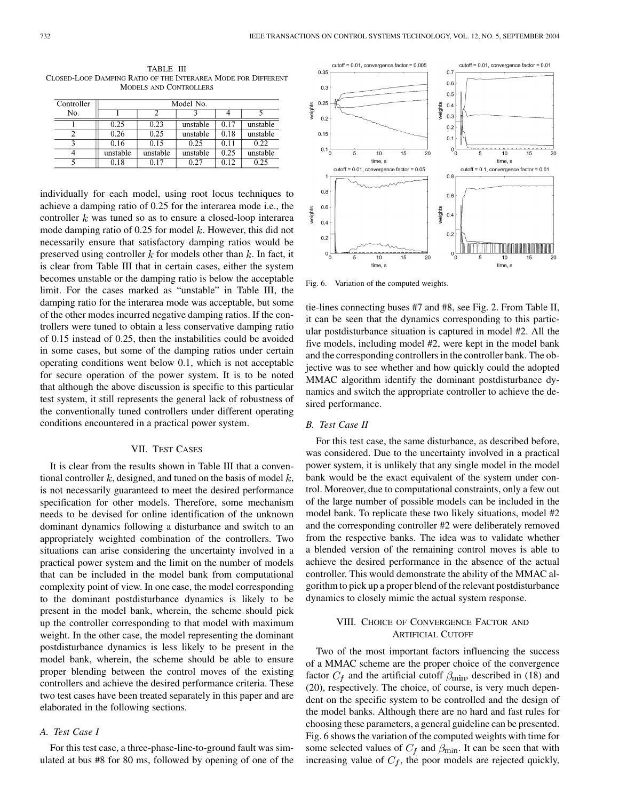TABLE III CLOSED-LOOP DAMPING RATIO OF THE INTERAREA MODE FOR DIFFERENT MODELS AND CONTROLLERS

| Controller | Model No. |          |          |      |          |  |
|------------|-----------|----------|----------|------|----------|--|
| No.        |           |          |          |      |          |  |
|            | 0.25      | 0.23     | unstable | 0.17 | unstable |  |
|            | 0.26      | 0.25     | unstable | 0.18 | unstable |  |
|            | 0.16      | 0.15     | 0.25     | 0.11 | 0.22     |  |
|            | unstable  | unstable | unstable | 0.25 | unstable |  |
|            | 0.18      | 0 17     | 0 27     | 0.12 | 0.25     |  |

individually for each model, using root locus techniques to achieve a damping ratio of 0.25 for the interarea mode i.e., the controller  $k$  was tuned so as to ensure a closed-loop interarea mode damping ratio of 0.25 for model  $k$ . However, this did not necessarily ensure that satisfactory damping ratios would be preserved using controller  $k$  for models other than  $k$ . In fact, it is clear from Table III that in certain cases, either the system becomes unstable or the damping ratio is below the acceptable limit. For the cases marked as "unstable" in Table III, the damping ratio for the interarea mode was acceptable, but some of the other modes incurred negative damping ratios. If the controllers were tuned to obtain a less conservative damping ratio of 0.15 instead of 0.25, then the instabilities could be avoided in some cases, but some of the damping ratios under certain operating conditions went below 0.1, which is not acceptable for secure operation of the power system. It is to be noted that although the above discussion is specific to this particular test system, it still represents the general lack of robustness of the conventionally tuned controllers under different operating conditions encountered in a practical power system.

# VII. TEST CASES

It is clear from the results shown in Table III that a conventional controller  $k$ , designed, and tuned on the basis of model  $k$ , is not necessarily guaranteed to meet the desired performance specification for other models. Therefore, some mechanism needs to be devised for online identification of the unknown dominant dynamics following a disturbance and switch to an appropriately weighted combination of the controllers. Two situations can arise considering the uncertainty involved in a practical power system and the limit on the number of models that can be included in the model bank from computational complexity point of view. In one case, the model corresponding to the dominant postdisturbance dynamics is likely to be present in the model bank, wherein, the scheme should pick up the controller corresponding to that model with maximum weight. In the other case, the model representing the dominant postdisturbance dynamics is less likely to be present in the model bank, wherein, the scheme should be able to ensure proper blending between the control moves of the existing controllers and achieve the desired performance criteria. These two test cases have been treated separately in this paper and are elaborated in the following sections.

# *A. Test Case I*

For this test case, a three-phase-line-to-ground fault was simulated at bus #8 for 80 ms, followed by opening of one of the



Fig. 6. Variation of the computed weights.

tie-lines connecting buses #7 and #8, see Fig. 2. From Table II, it can be seen that the dynamics corresponding to this particular postdisturbance situation is captured in model #2. All the five models, including model #2, were kept in the model bank and the corresponding controllers in the controller bank. The objective was to see whether and how quickly could the adopted MMAC algorithm identify the dominant postdisturbance dynamics and switch the appropriate controller to achieve the desired performance.

## *B. Test Case II*

For this test case, the same disturbance, as described before, was considered. Due to the uncertainty involved in a practical power system, it is unlikely that any single model in the model bank would be the exact equivalent of the system under control. Moreover, due to computational constraints, only a few out of the large number of possible models can be included in the model bank. To replicate these two likely situations, model #2 and the corresponding controller #2 were deliberately removed from the respective banks. The idea was to validate whether a blended version of the remaining control moves is able to achieve the desired performance in the absence of the actual controller. This would demonstrate the ability of the MMAC algorithm to pick up a proper blend of the relevant postdisturbance dynamics to closely mimic the actual system response.

# VIII. CHOICE OF CONVERGENCE FACTOR AND ARTIFICIAL CUTOFF

Two of the most important factors influencing the success of a MMAC scheme are the proper choice of the convergence factor  $C_f$  and the artificial cutoff  $\beta_{\text{min}}$ , described in (18) and (20), respectively. The choice, of course, is very much dependent on the specific system to be controlled and the design of the model banks. Although there are no hard and fast rules for choosing these parameters, a general guideline can be presented. Fig. 6 shows the variation of the computed weights with time for some selected values of  $C_f$  and  $\beta_{\text{min}}$ . It can be seen that with increasing value of  $C_f$ , the poor models are rejected quickly,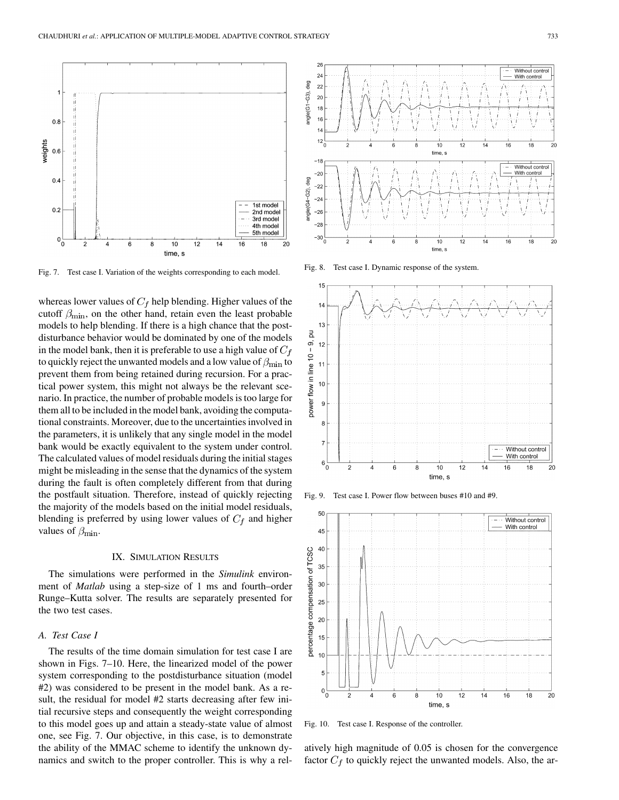

Fig. 7. Test case I. Variation of the weights corresponding to each model.

whereas lower values of  $C_f$  help blending. Higher values of the cutoff  $\beta_{\text{min}}$ , on the other hand, retain even the least probable models to help blending. If there is a high chance that the postdisturbance behavior would be dominated by one of the models in the model bank, then it is preferable to use a high value of  $C_f$ to quickly reject the unwanted models and a low value of  $\beta_{\text{min}}$  to prevent them from being retained during recursion. For a practical power system, this might not always be the relevant scenario. In practice, the number of probable models is too large for them all to be included in the model bank, avoiding the computational constraints. Moreover, due to the uncertainties involved in the parameters, it is unlikely that any single model in the model bank would be exactly equivalent to the system under control. The calculated values of model residuals during the initial stages might be misleading in the sense that the dynamics of the system during the fault is often completely different from that during the postfault situation. Therefore, instead of quickly rejecting the majority of the models based on the initial model residuals, blending is preferred by using lower values of  $C_f$  and higher values of  $\beta_{\text{min}}$ .

# IX. SIMULATION RESULTS

The simulations were performed in the *Simulink* environment of *Matlab* using a step-size of 1 ms and fourth–order Runge–Kutta solver. The results are separately presented for the two test cases.

## *A. Test Case I*

The results of the time domain simulation for test case I are shown in Figs. 7–10. Here, the linearized model of the power system corresponding to the postdisturbance situation (model #2) was considered to be present in the model bank. As a result, the residual for model #2 starts decreasing after few initial recursive steps and consequently the weight corresponding to this model goes up and attain a steady-state value of almost one, see Fig. 7. Our objective, in this case, is to demonstrate the ability of the MMAC scheme to identify the unknown dynamics and switch to the proper controller. This is why a rel-



Fig. 8. Test case I. Dynamic response of the system.



Fig. 9. Test case I. Power flow between buses #10 and #9.



Fig. 10. Test case I. Response of the controller.

atively high magnitude of 0.05 is chosen for the convergence factor  $C_f$  to quickly reject the unwanted models. Also, the ar-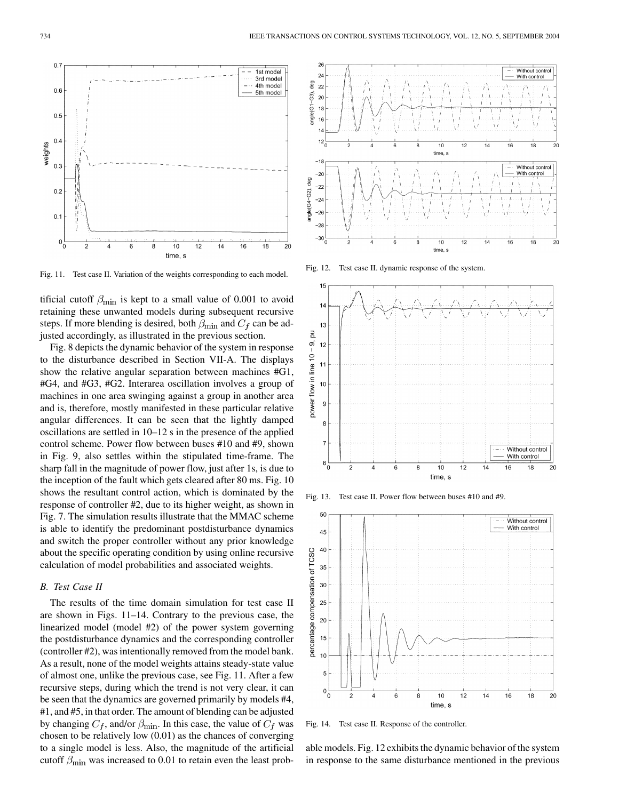

Fig. 11. Test case II. Variation of the weights corresponding to each model.

tificial cutoff  $\beta_{\text{min}}$  is kept to a small value of 0.001 to avoid retaining these unwanted models during subsequent recursive steps. If more blending is desired, both  $\beta_{\text{min}}$  and  $C_f$  can be adjusted accordingly, as illustrated in the previous section.

Fig. 8 depicts the dynamic behavior of the system in response to the disturbance described in Section VII-A. The displays show the relative angular separation between machines #G1, #G4, and #G3, #G2. Interarea oscillation involves a group of machines in one area swinging against a group in another area and is, therefore, mostly manifested in these particular relative angular differences. It can be seen that the lightly damped oscillations are settled in 10–12 s in the presence of the applied control scheme. Power flow between buses #10 and #9, shown in Fig. 9, also settles within the stipulated time-frame. The sharp fall in the magnitude of power flow, just after 1s, is due to the inception of the fault which gets cleared after 80 ms. Fig. 10 shows the resultant control action, which is dominated by the response of controller #2, due to its higher weight, as shown in Fig. 7. The simulation results illustrate that the MMAC scheme is able to identify the predominant postdisturbance dynamics and switch the proper controller without any prior knowledge about the specific operating condition by using online recursive calculation of model probabilities and associated weights.

# *B. Test Case II*

The results of the time domain simulation for test case II are shown in Figs. 11–14. Contrary to the previous case, the linearized model (model #2) of the power system governing the postdisturbance dynamics and the corresponding controller (controller #2), was intentionally removed from the model bank. As a result, none of the model weights attains steady-state value of almost one, unlike the previous case, see Fig. 11. After a few recursive steps, during which the trend is not very clear, it can be seen that the dynamics are governed primarily by models #4, #1, and #5, in that order. The amount of blending can be adjusted by changing  $C_f$ , and/or  $\beta_{\min}$ . In this case, the value of  $C_f$  was chosen to be relatively low (0.01) as the chances of converging to a single model is less. Also, the magnitude of the artificial cutoff  $\beta_{\text{min}}$  was increased to 0.01 to retain even the least prob-



Fig. 12. Test case II. dynamic response of the system.



Fig. 13. Test case II. Power flow between buses #10 and #9.



Fig. 14. Test case II. Response of the controller.

able models. Fig. 12 exhibits the dynamic behavior of the system in response to the same disturbance mentioned in the previous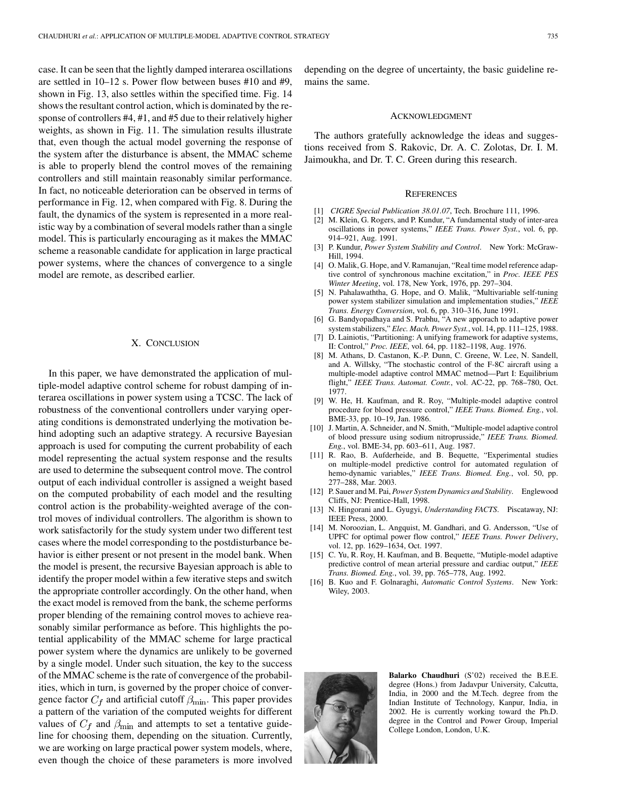<span id="page-8-0"></span>case. It can be seen that the lightly damped interarea oscillations are settled in 10–12 s. Power flow between buses #10 and #9, shown in Fig. 13, also settles within the specified time. Fig. 14 shows the resultant control action, which is dominated by the response of controllers #4, #1, and #5 due to their relatively higher weights, as shown in Fig. 11. The simulation results illustrate that, even though the actual model governing the response of the system after the disturbance is absent, the MMAC scheme is able to properly blend the control moves of the remaining controllers and still maintain reasonably similar performance. In fact, no noticeable deterioration can be observed in terms of performance in Fig. 12, when compared with Fig. 8. During the fault, the dynamics of the system is represented in a more realistic way by a combination of several models rather than a single model. This is particularly encouraging as it makes the MMAC scheme a reasonable candidate for application in large practical power systems, where the chances of convergence to a single model are remote, as described earlier.

#### X. CONCLUSION

In this paper, we have demonstrated the application of multiple-model adaptive control scheme for robust damping of interarea oscillations in power system using a TCSC. The lack of robustness of the conventional controllers under varying operating conditions is demonstrated underlying the motivation behind adopting such an adaptive strategy. A recursive Bayesian approach is used for computing the current probability of each model representing the actual system response and the results are used to determine the subsequent control move. The control output of each individual controller is assigned a weight based on the computed probability of each model and the resulting control action is the probability-weighted average of the control moves of individual controllers. The algorithm is shown to work satisfactorily for the study system under two different test cases where the model corresponding to the postdisturbance behavior is either present or not present in the model bank. When the model is present, the recursive Bayesian approach is able to identify the proper model within a few iterative steps and switch the appropriate controller accordingly. On the other hand, when the exact model is removed from the bank, the scheme performs proper blending of the remaining control moves to achieve reasonably similar performance as before. This highlights the potential applicability of the MMAC scheme for large practical power system where the dynamics are unlikely to be governed by a single model. Under such situation, the key to the success of the MMAC scheme is the rate of convergence of the probabilities, which in turn, is governed by the proper choice of convergence factor  $C_f$  and artificial cutoff  $\beta_{\text{min}}$ . This paper provides a pattern of the variation of the computed weights for different values of  $C_f$  and  $\beta_{\text{min}}$  and attempts to set a tentative guideline for choosing them, depending on the situation. Currently, we are working on large practical power system models, where, even though the choice of these parameters is more involved

depending on the degree of uncertainty, the basic guideline remains the same.

#### ACKNOWLEDGMENT

The authors gratefully acknowledge the ideas and suggestions received from S. Rakovic, Dr. A. C. Zolotas, Dr. I. M. Jaimoukha, and Dr. T. C. Green during this research.

#### **REFERENCES**

- [1] *CIGRE Special Publication 38.01.07*, Tech. Brochure 111, 1996.
- [2] M. Klein, G. Rogers, and P. Kundur, "A fundamental study of inter-area oscillations in power systems," *IEEE Trans. Power Syst.*, vol. 6, pp. 914–921, Aug. 1991.
- [3] P. Kundur, *Power System Stability and Control*. New York: McGraw-Hill, 1994.
- [4] O. Malik, G. Hope, and V. Ramanujan, "Real time model reference adaptive control of synchronous machine excitation," in *Proc. IEEE PES Winter Meeting*, vol. 178, New York, 1976, pp. 297–304.
- [5] N. Pahalawaththa, G. Hope, and O. Malik, "Multivariable self-tuning power system stabilizer simulation and implementation studies," *IEEE Trans. Energy Conversion*, vol. 6, pp. 310–316, June 1991.
- [6] G. Bandyopadhaya and S. Prabhu, "A new apporach to adaptive power system stabilizers," *Elec. Mach. Power Syst.*, vol. 14, pp. 111–125, 1988.
- [7] D. Lainiotis, "Partitioning: A unifying framework for adaptive systems, II: Control," *Proc. IEEE*, vol. 64, pp. 1182–1198, Aug. 1976.
- [8] M. Athans, D. Castanon, K.-P. Dunn, C. Greene, W. Lee, N. Sandell, and A. Willsky, "The stochastic control of the F-8C aircraft using a multiple-model adaptive control MMAC metnod—Part I: Equilibrium flight," IEEE Trans. Automat. Contr., vol. AC-22, pp. 768-780, Oct. 1977.
- [9] W. He, H. Kaufman, and R. Roy, "Multiple-model adaptive control procedure for blood pressure control," *IEEE Trans. Biomed. Eng.*, vol. BME-33, pp. 10–19, Jan. 1986.
- [10] J. Martin, A. Schneider, and N. Smith, "Multiple-model adaptive control of blood pressure using sodium nitroprusside," *IEEE Trans. Biomed. Eng.*, vol. BME-34, pp. 603–611, Aug. 1987.
- [11] R. Rao, B. Aufderheide, and B. Bequette, "Experimental studies on multiple-model predictive control for automated regulation of hemo-dynamic variables," *IEEE Trans. Biomed. Eng.*, vol. 50, pp. 277–288, Mar. 2003.
- [12] P. Sauer and M. Pai, *Power System Dynamics and Stability*. Englewood Cliffs, NJ: Prentice-Hall, 1998.
- [13] N. Hingorani and L. Gyugyi, *Understanding FACTS*. Piscataway, NJ: IEEE Press, 2000.
- [14] M. Noroozian, L. Angquist, M. Gandhari, and G. Andersson, "Use of UPFC for optimal power flow control," *IEEE Trans. Power Delivery*, vol. 12, pp. 1629–1634, Oct. 1997.
- [15] C. Yu, R. Roy, H. Kaufman, and B. Bequette, "Mutiple-model adaptive predictive control of mean arterial pressure and cardiac output," *IEEE Trans. Biomed. Eng.*, vol. 39, pp. 765–778, Aug. 1992.
- [16] B. Kuo and F. Golnaraghi, *Automatic Control Systems*. New York: Wiley, 2003.



**Balarko Chaudhuri** (S'02) received the B.E.E. degree (Hons.) from Jadavpur University, Calcutta, India, in 2000 and the M.Tech. degree from the Indian Institute of Technology, Kanpur, India, in 2002. He is currently working toward the Ph.D. degree in the Control and Power Group, Imperial College London, London, U.K.